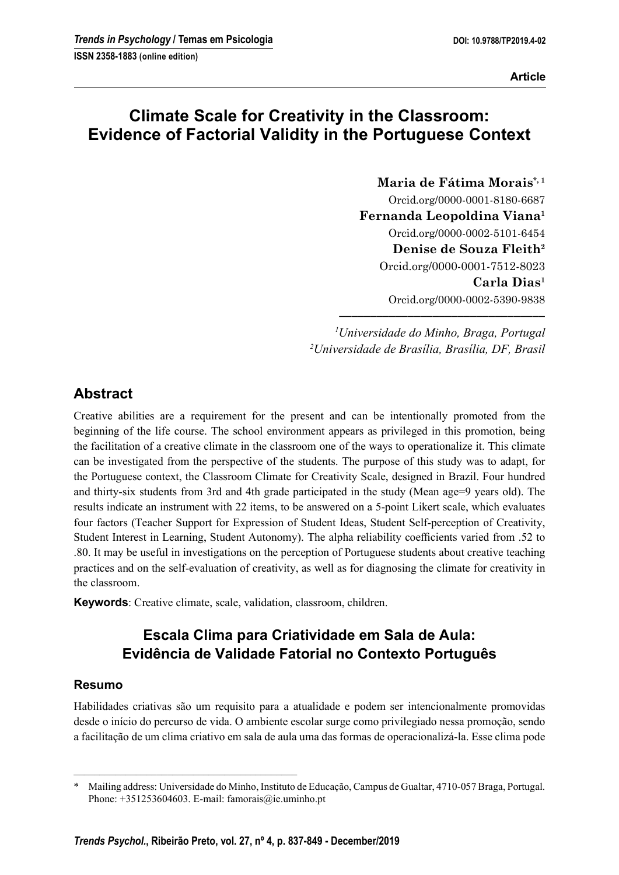**Article** 

# Climate Scale for Creativity in the Classroom: Evidence of Factorial Validity in the Portuguese Context

Maria de Fátima Morais\*,<sup>1</sup> Orcid.org/0000-0001-8180-6687 Fernanda Leopoldina Viana<sup>1</sup> Orcid.org/0000-0002-5101-6454 Denise de Souza Fleith<sup>2</sup> Orcid.org/0000-0001-7512-8023 Carla Dias<sup>1</sup> Orcid.org/0000-0002-5390-9838

<sup>1</sup>Universidade do Minho, Braga, Portugal <sup>2</sup>Universidade de Brasília, Brasília, DF, Brasil

–––––––––––––––––––––––––––––––––

## Abstract

Creative abilities are a requirement for the present and can be intentionally promoted from the beginning of the life course. The school environment appears as privileged in this promotion, being the facilitation of a creative climate in the classroom one of the ways to operationalize it. This climate can be investigated from the perspective of the students. The purpose of this study was to adapt, for the Portuguese context, the Classroom Climate for Creativity Scale, designed in Brazil. Four hundred and thirty-six students from 3rd and 4th grade participated in the study (Mean age=9 years old). The results indicate an instrument with 22 items, to be answered on a 5-point Likert scale, which evaluates four factors (Teacher Support for Expression of Student Ideas, Student Self-perception of Creativity, Student Interest in Learning, Student Autonomy). The alpha reliability coefficients varied from .52 to .80. It may be useful in investigations on the perception of Portuguese students about creative teaching practices and on the self-evaluation of creativity, as well as for diagnosing the climate for creativity in the classroom.

Keywords: Creative climate, scale, validation, classroom, children.

# Escala Clima para Criatividade em Sala de Aula: Evidência de Validade Fatorial no Contexto Português

## Resumo

Habilidades criativas são um requisito para a atualidade e podem ser intencionalmente promovidas desde o início do percurso de vida. O ambiente escolar surge como privilegiado nessa promoção, sendo a facilitação de um clima criativo em sala de aula uma das formas de operacionalizá-la. Esse clima pode

–––––––––––––––––––––––––––––––––––––––––––

<sup>\*</sup> Mailing address: Universidade do Minho, Instituto de Educação, Campus de Gualtar, 4710-057 Braga, Portugal. Phone: +351253604603. E-mail: famorais@ie.uminho.pt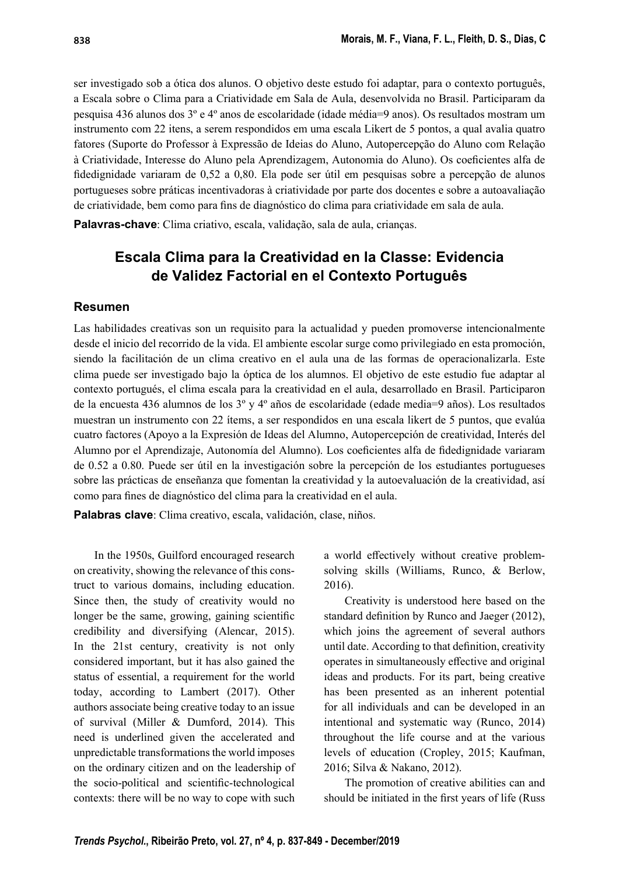ser investigado sob a ótica dos alunos. O objetivo deste estudo foi adaptar, para o contexto português, a Escala sobre o Clima para a Criatividade em Sala de Aula, desenvolvida no Brasil. Participaram da pesquisa 436 alunos dos 3º e 4º anos de escolaridade (idade média=9 anos). Os resultados mostram um instrumento com 22 itens, a serem respondidos em uma escala Likert de 5 pontos, a qual avalia quatro fatores (Suporte do Professor à Expressão de Ideias do Aluno, Autopercepção do Aluno com Relação à Criatividade, Interesse do Aluno pela Aprendizagem, Autonomia do Aluno). Os coeficientes alfa de fi dedignidade variaram de 0,52 a 0,80. Ela pode ser útil em pesquisas sobre a percepção de alunos portugueses sobre práticas incentivadoras à criatividade por parte dos docentes e sobre a autoavaliação de criatividade, bem como para fins de diagnóstico do clima para criatividade em sala de aula.

Palavras-chave: Clima criativo, escala, validação, sala de aula, crianças.

## Escala Clima para la Creatividad en la Classe: Evidencia de Validez Factorial en el Contexto Português

#### Resumen

Las habilidades creativas son un requisito para la actualidad y pueden promoverse intencionalmente desde el inicio del recorrido de la vida. El ambiente escolar surge como privilegiado en esta promoción, siendo la facilitación de un clima creativo en el aula una de las formas de operacionalizarla. Este clima puede ser investigado bajo la óptica de los alumnos. El objetivo de este estudio fue adaptar al contexto portugués, el clima escala para la creatividad en el aula, desarrollado en Brasil. Participaron de la encuesta 436 alumnos de los 3º y 4º años de escolaridade (edade media=9 años). Los resultados muestran un instrumento con 22 ítems, a ser respondidos en una escala likert de 5 puntos, que evalúa cuatro factores (Apoyo a la Expresión de Ideas del Alumno, Autopercepción de creatividad, Interés del Alumno por el Aprendizaje, Autonomía del Alumno). Los coeficientes alfa de fidedignidade variaram de 0.52 a 0.80. Puede ser útil en la investigación sobre la percepción de los estudiantes portugueses sobre las prácticas de enseñanza que fomentan la creatividad y la autoevaluación de la creatividad, así como para fines de diagnóstico del clima para la creatividad en el aula.

Palabras clave: Clima creativo, escala, validación, clase, niños.

In the 1950s, Guilford encouraged research on creativity, showing the relevance of this construct to various domains, including education. Since then, the study of creativity would no longer be the same, growing, gaining scientific credibility and diversifying (Alencar, 2015). In the 21st century, creativity is not only considered important, but it has also gained the status of essential, a requirement for the world today, according to Lambert (2017). Other authors associate being creative today to an issue of survival (Miller & Dumford, 2014). This need is underlined given the accelerated and unpredictable transformations the world imposes on the ordinary citizen and on the leadership of the socio-political and scientific-technological contexts: there will be no way to cope with such a world effectively without creative problemsolving skills (Williams, Runco, & Berlow, 2016).

Creativity is understood here based on the standard definition by Runco and Jaeger (2012), which joins the agreement of several authors until date. According to that definition, creativity operates in simultaneously effective and original ideas and products. For its part, being creative has been presented as an inherent potential for all individuals and can be developed in an intentional and systematic way (Runco, 2014) throughout the life course and at the various levels of education (Cropley, 2015; Kaufman, 2016; Silva & Nakano, 2012).

The promotion of creative abilities can and should be initiated in the first years of life (Russ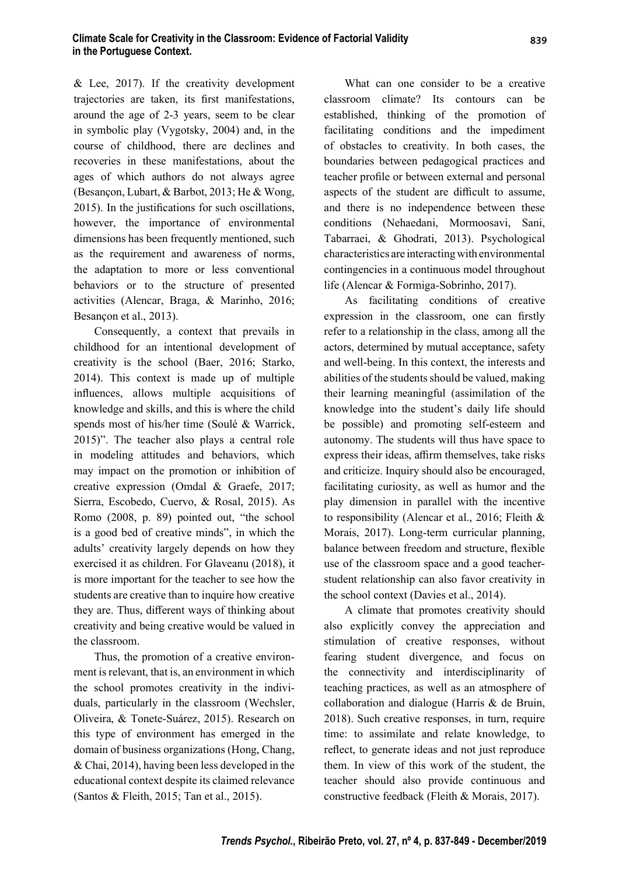& Lee, 2017). If the creativity development trajectories are taken, its first manifestations, around the age of 2-3 years, seem to be clear in symbolic play (Vygotsky, 2004) and, in the course of childhood, there are declines and recoveries in these manifestations, about the ages of which authors do not always agree (Besançon, Lubart, & Barbot, 2013; He & Wong, 2015). In the justifications for such oscillations, however, the importance of environmental dimensions has been frequently mentioned, such as the requirement and awareness of norms, the adaptation to more or less conventional behaviors or to the structure of presented activities (Alencar, Braga, & Marinho, 2016; Besançon et al., 2013).

Consequently, a context that prevails in childhood for an intentional development of creativity is the school (Baer, 2016; Starko, 2014). This context is made up of multiple influences, allows multiple acquisitions of knowledge and skills, and this is where the child spends most of his/her time (Soulé & Warrick, 2015)". The teacher also plays a central role in modeling attitudes and behaviors, which may impact on the promotion or inhibition of creative expression (Omdal & Graefe, 2017; Sierra, Escobedo, Cuervo, & Rosal, 2015). As Romo (2008, p. 89) pointed out, "the school is a good bed of creative minds", in which the adults' creativity largely depends on how they exercised it as children. For Glaveanu (2018), it is more important for the teacher to see how the students are creative than to inquire how creative they are. Thus, different ways of thinking about creativity and being creative would be valued in the classroom.

Thus, the promotion of a creative environment is relevant, that is, an environment in which the school promotes creativity in the individuals, particularly in the classroom (Wechsler, Oliveira, & Tonete-Suárez, 2015). Research on this type of environment has emerged in the domain of business organizations (Hong, Chang, & Chai, 2014), having been less developed in the educational context despite its claimed relevance (Santos & Fleith, 2015; Tan et al., 2015).

What can one consider to be a creative classroom climate? Its contours can be established, thinking of the promotion of facilitating conditions and the impediment of obstacles to creativity. In both cases, the boundaries between pedagogical practices and teacher profile or between external and personal aspects of the student are difficult to assume, and there is no independence between these conditions (Nehaedani, Mormoosavi, Sani, Tabarraei, & Ghodrati, 2013). Psychological characteristics are interacting with environmental contingencies in a continuous model throughout life (Alencar & Formiga-Sobrinho, 2017).

As facilitating conditions of creative expression in the classroom, one can firstly refer to a relationship in the class, among all the actors, determined by mutual acceptance, safety and well-being. In this context, the interests and abilities of the students should be valued, making their learning meaningful (assimilation of the knowledge into the student's daily life should be possible) and promoting self-esteem and autonomy. The students will thus have space to express their ideas, affirm themselves, take risks and criticize. Inquiry should also be encouraged, facilitating curiosity, as well as humor and the play dimension in parallel with the incentive to responsibility (Alencar et al., 2016; Fleith & Morais, 2017). Long-term curricular planning, balance between freedom and structure, flexible use of the classroom space and a good teacherstudent relationship can also favor creativity in the school context (Davies et al., 2014).

A climate that promotes creativity should also explicitly convey the appreciation and stimulation of creative responses, without fearing student divergence, and focus on the connectivity and interdisciplinarity of teaching practices, as well as an atmosphere of collaboration and dialogue (Harris & de Bruin, 2018). Such creative responses, in turn, require time: to assimilate and relate knowledge, to reflect, to generate ideas and not just reproduce them. In view of this work of the student, the teacher should also provide continuous and constructive feedback (Fleith & Morais, 2017).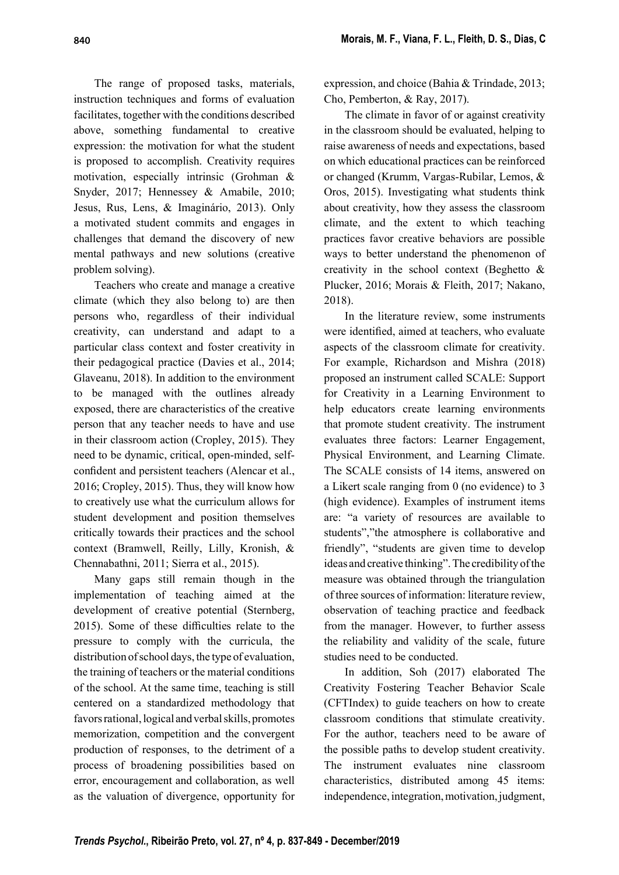The range of proposed tasks, materials, instruction techniques and forms of evaluation facilitates, together with the conditions described above, something fundamental to creative expression: the motivation for what the student is proposed to accomplish. Creativity requires motivation, especially intrinsic (Grohman & Snyder, 2017; Hennessey & Amabile, 2010; Jesus, Rus, Lens, & Imaginário, 2013). Only a motivated student commits and engages in challenges that demand the discovery of new mental pathways and new solutions (creative problem solving).

Teachers who create and manage a creative climate (which they also belong to) are then persons who, regardless of their individual creativity, can understand and adapt to a particular class context and foster creativity in their pedagogical practice (Davies et al., 2014; Glaveanu, 2018). In addition to the environment to be managed with the outlines already exposed, there are characteristics of the creative person that any teacher needs to have and use in their classroom action (Cropley, 2015). They need to be dynamic, critical, open-minded, selfconfident and persistent teachers (Alencar et al., 2016; Cropley, 2015). Thus, they will know how to creatively use what the curriculum allows for student development and position themselves critically towards their practices and the school context (Bramwell, Reilly, Lilly, Kronish, & Chennabathni, 2011; Sierra et al., 2015).

Many gaps still remain though in the implementation of teaching aimed at the development of creative potential (Sternberg, 2015). Some of these difficulties relate to the pressure to comply with the curricula, the distribution of school days, the type of evaluation, the training of teachers or the material conditions of the school. At the same time, teaching is still centered on a standardized methodology that favors rational, logical and verbal skills, promotes memorization, competition and the convergent production of responses, to the detriment of a process of broadening possibilities based on error, encouragement and collaboration, as well as the valuation of divergence, opportunity for

expression, and choice (Bahia & Trindade, 2013; Cho, Pemberton, & Ray, 2017).

The climate in favor of or against creativity in the classroom should be evaluated, helping to raise awareness of needs and expectations, based on which educational practices can be reinforced or changed (Krumm, Vargas-Rubilar, Lemos, & Oros, 2015). Investigating what students think about creativity, how they assess the classroom climate, and the extent to which teaching practices favor creative behaviors are possible ways to better understand the phenomenon of creativity in the school context (Beghetto & Plucker, 2016; Morais & Fleith, 2017; Nakano, 2018).

In the literature review, some instruments were identified, aimed at teachers, who evaluate aspects of the classroom climate for creativity. For example, Richardson and Mishra (2018) proposed an instrument called SCALE: Support for Creativity in a Learning Environment to help educators create learning environments that promote student creativity. The instrument evaluates three factors: Learner Engagement, Physical Environment, and Learning Climate. The SCALE consists of 14 items, answered on a Likert scale ranging from 0 (no evidence) to 3 (high evidence). Examples of instrument items are: "a variety of resources are available to students","the atmosphere is collaborative and friendly", "students are given time to develop ideas and creative thinking". The credibility of the measure was obtained through the triangulation of three sources of information: literature review, observation of teaching practice and feedback from the manager. However, to further assess the reliability and validity of the scale, future studies need to be conducted.

In addition, Soh (2017) elaborated The Creativity Fostering Teacher Behavior Scale (CFTIndex) to guide teachers on how to create classroom conditions that stimulate creativity. For the author, teachers need to be aware of the possible paths to develop student creativity. The instrument evaluates nine classroom characteristics, distributed among 45 items: independence, integration, motivation, judgment,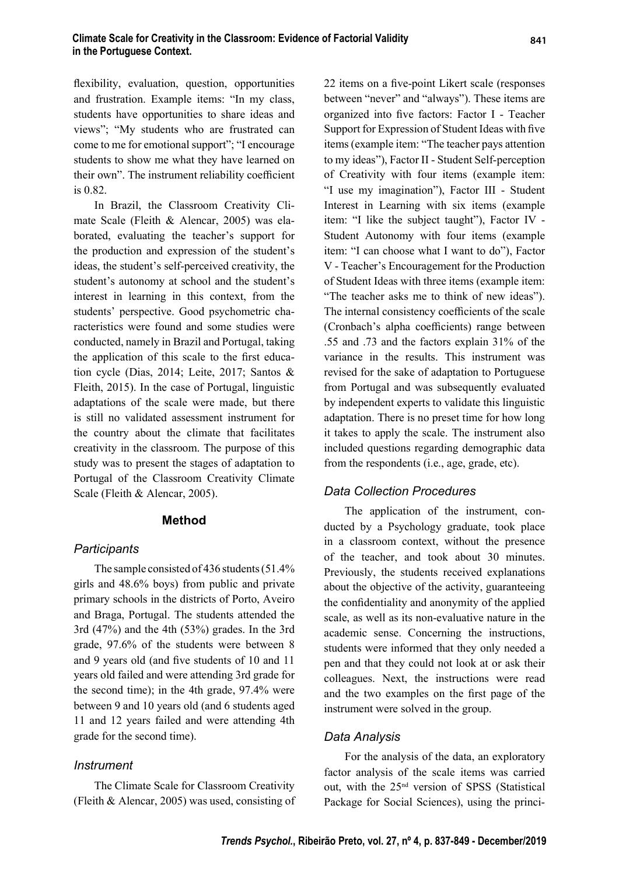flexibility, evaluation, question, opportunities and frustration. Example items: "In my class, students have opportunities to share ideas and views"; "My students who are frustrated can come to me for emotional support"; "I encourage students to show me what they have learned on their own". The instrument reliability coefficient is 0.82.

In Brazil, the Classroom Creativity Climate Scale (Fleith & Alencar, 2005) was elaborated, evaluating the teacher's support for the production and expression of the student's ideas, the student's self-perceived creativity, the student's autonomy at school and the student's interest in learning in this context, from the students' perspective. Good psychometric characteristics were found and some studies were conducted, namely in Brazil and Portugal, taking the application of this scale to the first education cycle (Dias, 2014; Leite, 2017; Santos & Fleith, 2015). In the case of Portugal, linguistic adaptations of the scale were made, but there is still no validated assessment instrument for the country about the climate that facilitates creativity in the classroom. The purpose of this study was to present the stages of adaptation to Portugal of the Classroom Creativity Climate Scale (Fleith & Alencar, 2005).

#### Method

#### **Participants**

The sample consisted of 436 students (51.4% girls and 48.6% boys) from public and private primary schools in the districts of Porto, Aveiro and Braga, Portugal. The students attended the 3rd (47%) and the 4th (53%) grades. In the 3rd grade, 97.6% of the students were between 8 and 9 years old (and five students of 10 and 11 years old failed and were attending 3rd grade for the second time); in the 4th grade, 97.4% were between 9 and 10 years old (and 6 students aged 11 and 12 years failed and were attending 4th grade for the second time).

#### Instrument

The Climate Scale for Classroom Creativity (Fleith & Alencar, 2005) was used, consisting of 22 items on a five-point Likert scale (responses between "never" and "always"). These items are organized into five factors: Factor I - Teacher Support for Expression of Student Ideas with five items (example item: "The teacher pays attention to my ideas"), Factor II - Student Self-perception of Creativity with four items (example item: "I use my imagination"), Factor III - Student Interest in Learning with six items (example item: "I like the subject taught"), Factor IV - Student Autonomy with four items (example item: "I can choose what I want to do"), Factor V - Teacher's Encouragement for the Production of Student Ideas with three items (example item: "The teacher asks me to think of new ideas"). The internal consistency coefficients of the scale (Cronbach's alpha coefficients) range between .55 and .73 and the factors explain 31% of the variance in the results. This instrument was revised for the sake of adaptation to Portuguese from Portugal and was subsequently evaluated by independent experts to validate this linguistic adaptation. There is no preset time for how long it takes to apply the scale. The instrument also included questions regarding demographic data from the respondents (i.e., age, grade, etc).

#### Data Collection Procedures

The application of the instrument, conducted by a Psychology graduate, took place in a classroom context, without the presence of the teacher, and took about 30 minutes. Previously, the students received explanations about the objective of the activity, guaranteeing the confidentiality and anonymity of the applied scale, as well as its non-evaluative nature in the academic sense. Concerning the instructions, students were informed that they only needed a pen and that they could not look at or ask their colleagues. Next, the instructions were read and the two examples on the first page of the instrument were solved in the group.

#### Data Analysis

For the analysis of the data, an exploratory factor analysis of the scale items was carried out, with the 25nd version of SPSS (Statistical Package for Social Sciences), using the princi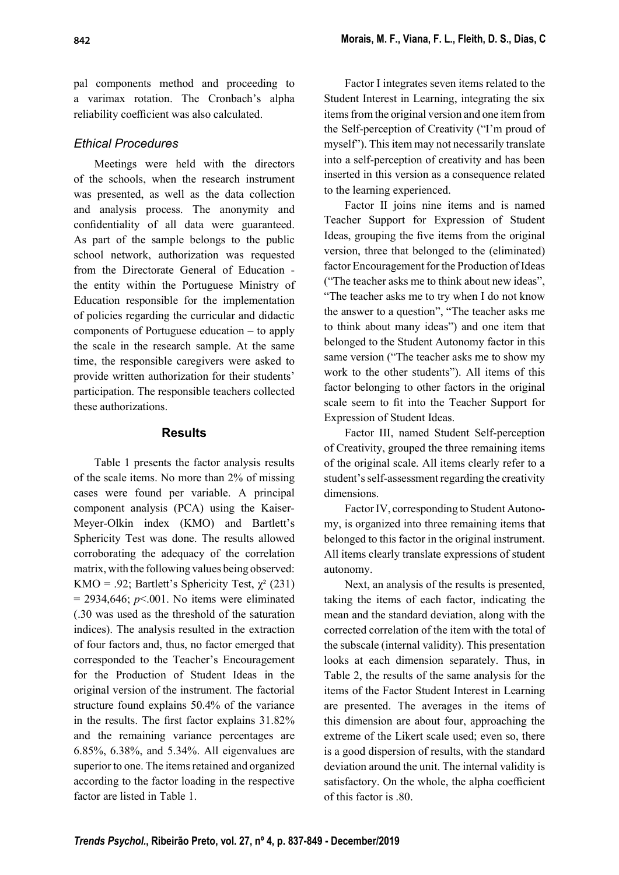pal components method and proceeding to a varimax rotation. The Cronbach's alpha reliability coefficient was also calculated.

## Ethical Procedures

Meetings were held with the directors of the schools, when the research instrument was presented, as well as the data collection and analysis process. The anonymity and confidentiality of all data were guaranteed. As part of the sample belongs to the public school network, authorization was requested from the Directorate General of Education the entity within the Portuguese Ministry of Education responsible for the implementation of policies regarding the curricular and didactic components of Portuguese education – to apply the scale in the research sample. At the same time, the responsible caregivers were asked to provide written authorization for their students' participation. The responsible teachers collected these authorizations.

#### Results

Table 1 presents the factor analysis results of the scale items. No more than 2% of missing cases were found per variable. A principal component analysis (PCA) using the Kaiser-Meyer-Olkin index (KMO) and Bartlett's Sphericity Test was done. The results allowed corroborating the adequacy of the correlation matrix, with the following values being observed: KMO = .92; Bartlett's Sphericity Test,  $\chi^2$  (231)  $= 2934,646$ ;  $p<0.001$ . No items were eliminated (.30 was used as the threshold of the saturation indices). The analysis resulted in the extraction of four factors and, thus, no factor emerged that corresponded to the Teacher's Encouragement for the Production of Student Ideas in the original version of the instrument. The factorial structure found explains 50.4% of the variance in the results. The first factor explains  $31.82\%$ and the remaining variance percentages are 6.85%, 6.38%, and 5.34%. All eigenvalues are superior to one. The items retained and organized according to the factor loading in the respective factor are listed in Table 1.

Factor I integrates seven items related to the Student Interest in Learning, integrating the six items from the original version and one item from the Self-perception of Creativity ("I'm proud of myself"). This item may not necessarily translate into a self-perception of creativity and has been inserted in this version as a consequence related to the learning experienced.

Factor II joins nine items and is named Teacher Support for Expression of Student Ideas, grouping the five items from the original version, three that belonged to the (eliminated) factor Encouragement for the Production of Ideas ("The teacher asks me to think about new ideas", "The teacher asks me to try when I do not know the answer to a question", "The teacher asks me to think about many ideas") and one item that belonged to the Student Autonomy factor in this same version ("The teacher asks me to show my work to the other students"). All items of this factor belonging to other factors in the original scale seem to fit into the Teacher Support for Expression of Student Ideas.

Factor III, named Student Self-perception of Creativity, grouped the three remaining items of the original scale. All items clearly refer to a student's self-assessment regarding the creativity dimensions.

Factor IV, corresponding to Student Autonomy, is organized into three remaining items that belonged to this factor in the original instrument. All items clearly translate expressions of student autonomy.

Next, an analysis of the results is presented, taking the items of each factor, indicating the mean and the standard deviation, along with the corrected correlation of the item with the total of the subscale (internal validity). This presentation looks at each dimension separately. Thus, in Table 2, the results of the same analysis for the items of the Factor Student Interest in Learning are presented. The averages in the items of this dimension are about four, approaching the extreme of the Likert scale used; even so, there is a good dispersion of results, with the standard deviation around the unit. The internal validity is satisfactory. On the whole, the alpha coefficient of this factor is .80.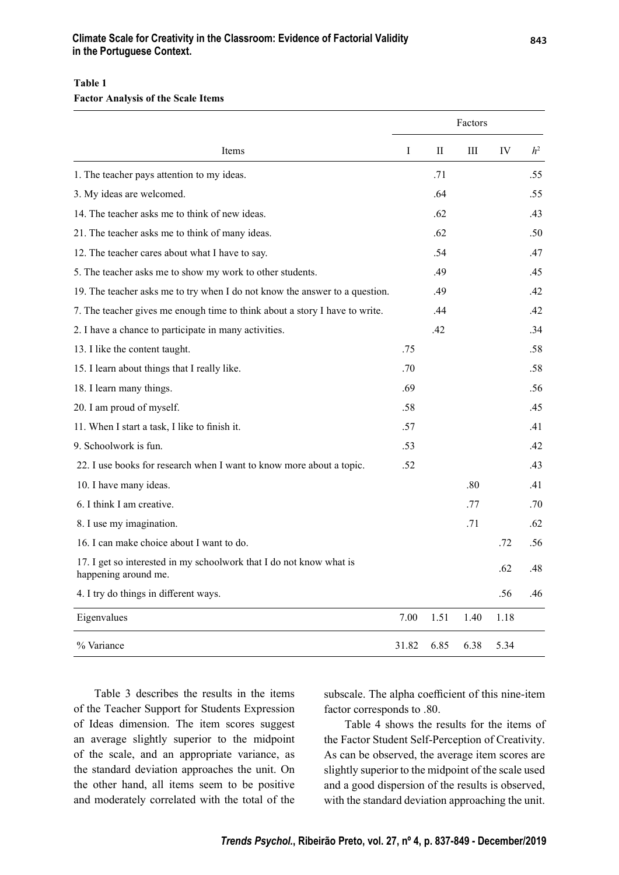#### Climate Scale for Creativity in the Classroom: Evidence of Factorial Validity in the Portuguese Context.

#### Table 1

Factor Analysis of the Scale Items

| Items                                                                                       |       | Factors     |      |      |                |  |
|---------------------------------------------------------------------------------------------|-------|-------------|------|------|----------------|--|
|                                                                                             | I     | $_{\rm II}$ | Ш    | IV   | h <sup>2</sup> |  |
| 1. The teacher pays attention to my ideas.                                                  |       | .71         |      |      | .55            |  |
| 3. My ideas are welcomed.                                                                   |       | .64         |      |      | .55            |  |
| 14. The teacher asks me to think of new ideas.                                              |       | .62         |      |      | .43            |  |
| 21. The teacher asks me to think of many ideas.                                             |       | .62         |      |      | .50            |  |
| 12. The teacher cares about what I have to say.                                             |       | .54         |      |      | .47            |  |
| 5. The teacher asks me to show my work to other students.                                   |       | .49         |      |      | .45            |  |
| 19. The teacher asks me to try when I do not know the answer to a question.                 |       | .49         |      |      | .42            |  |
| 7. The teacher gives me enough time to think about a story I have to write.                 |       | .44         |      |      | .42            |  |
| 2. I have a chance to participate in many activities.                                       |       | .42         |      |      | .34            |  |
| 13. I like the content taught.                                                              | .75   |             |      |      | .58            |  |
| 15. I learn about things that I really like.                                                | .70   |             |      |      | .58            |  |
| 18. I learn many things.                                                                    | .69   |             |      |      | .56            |  |
| 20. I am proud of myself.                                                                   | .58   |             |      |      | .45            |  |
| 11. When I start a task, I like to finish it.                                               | .57   |             |      |      | .41            |  |
| 9. Schoolwork is fun.                                                                       | .53   |             |      |      | .42            |  |
| 22. I use books for research when I want to know more about a topic.                        | .52   |             |      |      | .43            |  |
| 10. I have many ideas.                                                                      |       |             | .80  |      | .41            |  |
| 6. I think I am creative.                                                                   |       |             | .77  |      | .70            |  |
| 8. I use my imagination.                                                                    |       |             | .71  |      | .62            |  |
| 16. I can make choice about I want to do.                                                   |       |             |      | .72  | .56            |  |
| 17. I get so interested in my schoolwork that I do not know what is<br>happening around me. |       |             |      | .62  | .48            |  |
| 4. I try do things in different ways.                                                       |       |             |      | .56  | .46            |  |
| Eigenvalues                                                                                 | 7.00  | 1.51        | 1.40 | 1.18 |                |  |
| % Variance                                                                                  | 31.82 | 6.85        | 6.38 | 5.34 |                |  |

Table 3 describes the results in the items of the Teacher Support for Students Expression of Ideas dimension. The item scores suggest an average slightly superior to the midpoint of the scale, and an appropriate variance, as the standard deviation approaches the unit. On the other hand, all items seem to be positive and moderately correlated with the total of the subscale. The alpha coefficient of this nine-item factor corresponds to .80.

Table 4 shows the results for the items of the Factor Student Self-Perception of Creativity. As can be observed, the average item scores are slightly superior to the midpoint of the scale used and a good dispersion of the results is observed, with the standard deviation approaching the unit.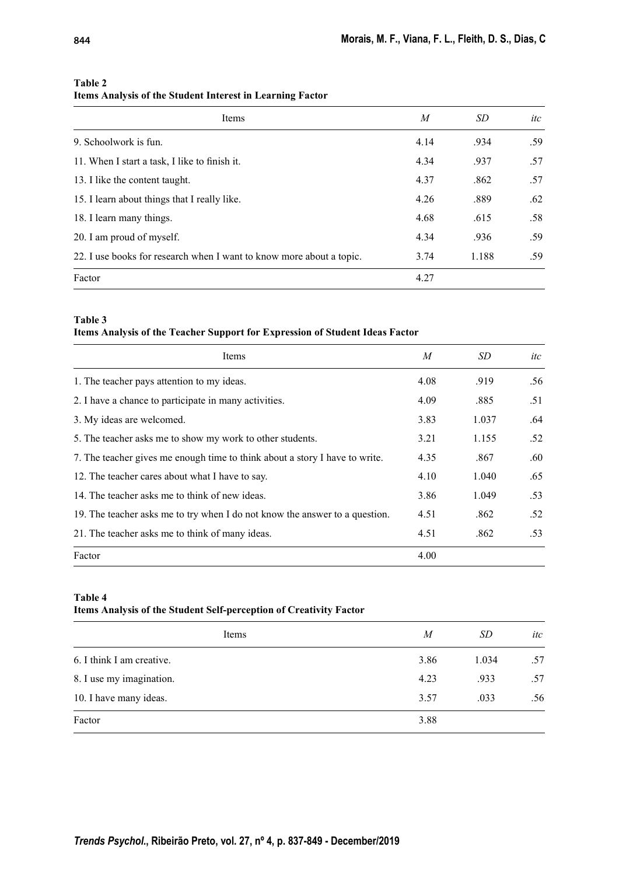| Items                                                                | $\boldsymbol{M}$ | SD    | itc |
|----------------------------------------------------------------------|------------------|-------|-----|
| 9. Schoolwork is fun.                                                | 4.14             | .934  | .59 |
| 11. When I start a task, I like to finish it.                        | 4.34             | .937  | .57 |
| 13. I like the content taught.                                       | 4.37             | .862  | .57 |
| 15. I learn about things that I really like.                         | 4.26             | .889  | .62 |
| 18. I learn many things.                                             | 4.68             | .615  | .58 |
| 20. I am proud of myself.                                            | 4.34             | .936  | .59 |
| 22. I use books for research when I want to know more about a topic. | 3.74             | 1.188 | .59 |
| Factor                                                               | 4.27             |       |     |

#### Table 2

## Items Analysis of the Student Interest in Learning Factor

#### Table 3

#### Items Analysis of the Teacher Support for Expression of Student Ideas Factor

| Items                                                                       | M    | SD    | itc |
|-----------------------------------------------------------------------------|------|-------|-----|
| 1. The teacher pays attention to my ideas.                                  | 4.08 | .919  | .56 |
| 2. I have a chance to participate in many activities.                       | 4.09 | .885  | .51 |
| 3. My ideas are welcomed.                                                   | 3.83 | 1.037 | .64 |
| 5. The teacher asks me to show my work to other students.                   | 3.21 | 1.155 | .52 |
| 7. The teacher gives me enough time to think about a story I have to write. | 4.35 | .867  | .60 |
| 12. The teacher cares about what I have to say.                             | 4.10 | 1.040 | .65 |
| 14. The teacher asks me to think of new ideas.                              | 3.86 | 1.049 | .53 |
| 19. The teacher asks me to try when I do not know the answer to a question. | 4.51 | .862  | .52 |
| 21. The teacher asks me to think of many ideas.                             | 4.51 | .862  | .53 |
| Factor                                                                      | 4.00 |       |     |

#### Table 4

#### Items Analysis of the Student Self-perception of Creativity Factor

| Items                     | M    | SD    | itc |
|---------------------------|------|-------|-----|
| 6. I think I am creative. | 3.86 | 1.034 | .57 |
| 8. I use my imagination.  | 4.23 | .933  | .57 |
| 10. I have many ideas.    | 3.57 | .033  | .56 |
| Factor                    | 3.88 |       |     |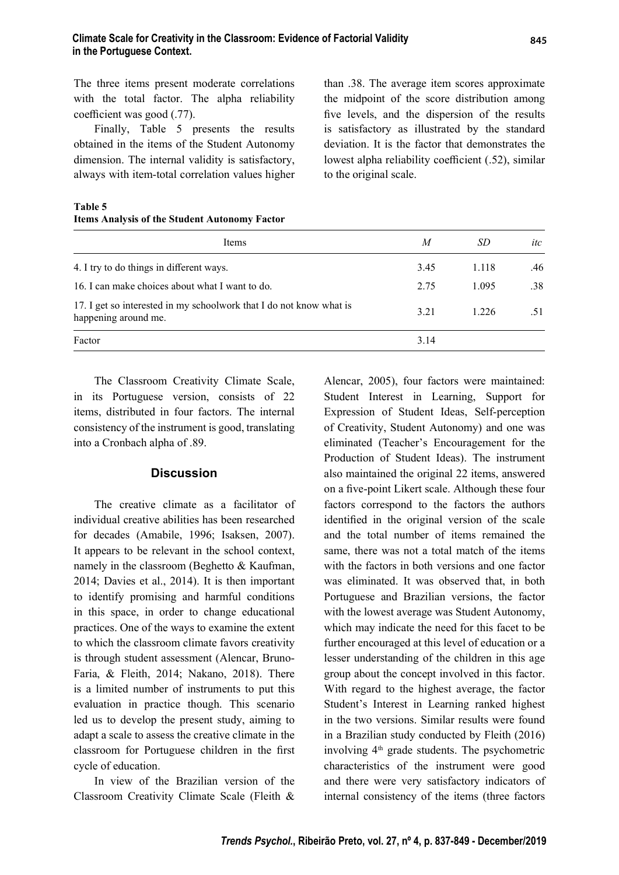The three items present moderate correlations with the total factor. The alpha reliability coefficient was good (.77).

Finally, Table 5 presents the results obtained in the items of the Student Autonomy dimension. The internal validity is satisfactory, always with item-total correlation values higher

Table 5 Items Analysis of the Student Autonomy Factor

than .38. The average item scores approximate the midpoint of the score distribution among five levels, and the dispersion of the results is satisfactory as illustrated by the standard deviation. It is the factor that demonstrates the lowest alpha reliability coefficient (.52), similar to the original scale.

| Items                                                                                       | M    | SD    | itc |
|---------------------------------------------------------------------------------------------|------|-------|-----|
| 4. I try to do things in different ways.                                                    | 3.45 | 1.118 | .46 |
| 16. I can make choices about what I want to do.                                             | 2.75 | 1.095 | .38 |
| 17. I get so interested in my schoolwork that I do not know what is<br>happening around me. | 3.21 | 1.226 | .51 |
| Factor                                                                                      | 3.14 |       |     |

The Classroom Creativity Climate Scale, in its Portuguese version, consists of 22 items, distributed in four factors. The internal consistency of the instrument is good, translating into a Cronbach alpha of .89.

### **Discussion**

The creative climate as a facilitator of individual creative abilities has been researched for decades (Amabile, 1996; Isaksen, 2007). It appears to be relevant in the school context, namely in the classroom (Beghetto & Kaufman, 2014; Davies et al., 2014). It is then important to identify promising and harmful conditions in this space, in order to change educational practices. One of the ways to examine the extent to which the classroom climate favors creativity is through student assessment (Alencar, Bruno-Faria, & Fleith, 2014; Nakano, 2018). There is a limited number of instruments to put this evaluation in practice though. This scenario led us to develop the present study, aiming to adapt a scale to assess the creative climate in the classroom for Portuguese children in the first cycle of education.

In view of the Brazilian version of the Classroom Creativity Climate Scale (Fleith & Alencar, 2005), four factors were maintained: Student Interest in Learning, Support for Expression of Student Ideas, Self-perception of Creativity, Student Autonomy) and one was eliminated (Teacher's Encouragement for the Production of Student Ideas). The instrument also maintained the original 22 items, answered on a five-point Likert scale. Although these four factors correspond to the factors the authors identified in the original version of the scale and the total number of items remained the same, there was not a total match of the items with the factors in both versions and one factor was eliminated. It was observed that, in both Portuguese and Brazilian versions, the factor with the lowest average was Student Autonomy, which may indicate the need for this facet to be further encouraged at this level of education or a lesser understanding of the children in this age group about the concept involved in this factor. With regard to the highest average, the factor Student's Interest in Learning ranked highest in the two versions. Similar results were found in a Brazilian study conducted by Fleith (2016) involving 4<sup>th</sup> grade students. The psychometric characteristics of the instrument were good and there were very satisfactory indicators of internal consistency of the items (three factors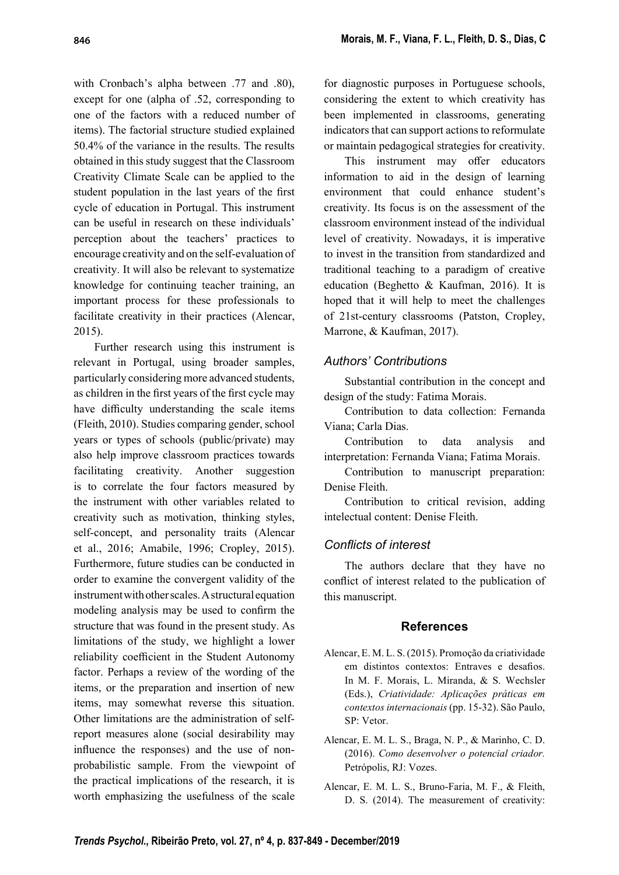with Cronbach's alpha between .77 and .80), except for one (alpha of .52, corresponding to one of the factors with a reduced number of items). The factorial structure studied explained 50.4% of the variance in the results. The results obtained in this study suggest that the Classroom Creativity Climate Scale can be applied to the student population in the last years of the first cycle of education in Portugal. This instrument can be useful in research on these individuals' perception about the teachers' practices to encourage creativity and on the self-evaluation of creativity. It will also be relevant to systematize knowledge for continuing teacher training, an important process for these professionals to facilitate creativity in their practices (Alencar, 2015).

Further research using this instrument is relevant in Portugal, using broader samples, particularly considering more advanced students, as children in the first years of the first cycle may have difficulty understanding the scale items (Fleith, 2010). Studies comparing gender, school years or types of schools (public/private) may also help improve classroom practices towards facilitating creativity. Another suggestion is to correlate the four factors measured by the instrument with other variables related to creativity such as motivation, thinking styles, self-concept, and personality traits (Alencar et al., 2016; Amabile, 1996; Cropley, 2015). Furthermore, future studies can be conducted in order to examine the convergent validity of the instrument with other scales. A structural equation modeling analysis may be used to confirm the structure that was found in the present study. As limitations of the study, we highlight a lower reliability coefficient in the Student Autonomy factor. Perhaps a review of the wording of the items, or the preparation and insertion of new items, may somewhat reverse this situation. Other limitations are the administration of selfreport measures alone (social desirability may influence the responses) and the use of nonprobabilistic sample. From the viewpoint of the practical implications of the research, it is worth emphasizing the usefulness of the scale for diagnostic purposes in Portuguese schools, considering the extent to which creativity has been implemented in classrooms, generating indicators that can support actions to reformulate or maintain pedagogical strategies for creativity.

This instrument may offer educators information to aid in the design of learning environment that could enhance student's creativity. Its focus is on the assessment of the classroom environment instead of the individual level of creativity. Nowadays, it is imperative to invest in the transition from standardized and traditional teaching to a paradigm of creative education (Beghetto & Kaufman, 2016). It is hoped that it will help to meet the challenges of 21st-century classrooms (Patston, Cropley, Marrone, & Kaufman, 2017).

## Authors' Contributions

Substantial contribution in the concept and design of the study: Fatima Morais.

Contribution to data collection: Fernanda Viana; Carla Dias.

Contribution to data analysis and interpretation: Fernanda Viana; Fatima Morais.

Contribution to manuscript preparation: Denise Fleith.

Contribution to critical revision, adding intelectual content: Denise Fleith.

### Conflicts of interest

The authors declare that they have no conflict of interest related to the publication of this manuscript.

#### References

- Alencar, E. M. L. S. (2015). Promoção da criatividade em distintos contextos: Entraves e desafios. In M. F. Morais, L. Miranda, & S. Wechsler (Eds.), Criatividade: Aplicações práticas em contextos internacionais (pp. 15-32). São Paulo, SP: Vetor.
- Alencar, E. M. L. S., Braga, N. P., & Marinho, C. D. (2016). Como desenvolver o potencial criador. Petrópolis, RJ: Vozes.
- Alencar, E. M. L. S., Bruno-Faria, M. F., & Fleith, D. S. (2014). The measurement of creativity: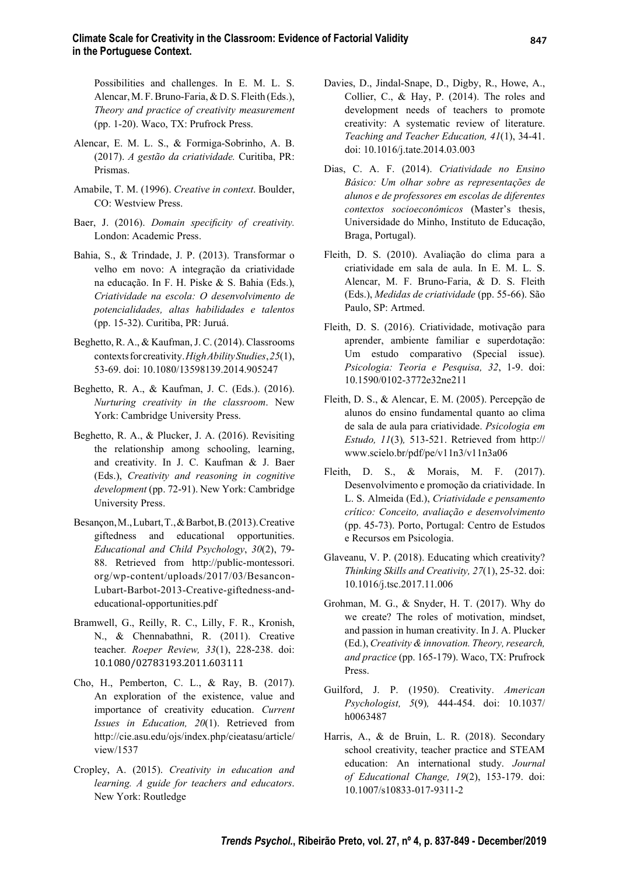Possibilities and challenges. In E. M. L. S. Alencar, M. F. Bruno-Faria, & D. S. Fleith (Eds.), Theory and practice of creativity measurement (pp. 1-20). Waco, TX: Prufrock Press.

- Alencar, E. M. L. S., & Formiga-Sobrinho, A. B. (2017). A gestão da criatividade. Curitiba, PR: Prismas.
- Amabile, T. M. (1996). Creative in context. Boulder, CO: Westview Press.
- Baer, J. (2016). Domain specificity of creativity. London: Academic Press.
- Bahia, S., & Trindade, J. P. (2013). Transformar o velho em novo: A integração da criatividade na educação. In F. H. Piske & S. Bahia (Eds.), Criatividade na escola: O desenvolvimento de potencialidades, altas habilidades e talentos (pp. 15-32). Curitiba, PR: Juruá .
- Beghetto, R. A., & Kaufman, J. C. (2014). Classrooms contexts for creativity. High Ability Studies, 25(1), 53-69. doi: 10.1080/13598139.2014.905247
- Beghetto, R. A., & Kaufman, J. C. (Eds.). (2016). Nurturing creativity in the classroom. New York: Cambridge University Press.
- Beghetto, R. A., & Plucker, J. A. (2016). Revisiting the relationship among schooling, learning, and creativity. In J. C. Kaufman & J. Baer (Eds.), Creativity and reasoning in cognitive development (pp. 72-91). New York: Cambridge University Press.
- Besançon, M., Lubart, T., & Barbot, B. (2013). Creative giftedness and educational opportunities. Educational and Child Psychology, 30(2), 79- 88. Retrieved from http://public-montessori. org/wp-content/uploads/2017/03/Besancon-Lubart-Barbot-2013-Creative-giftedness-andeducational-opportunities.pdf
- Bramwell, G., Reilly, R. C., Lilly, F. R., Kronish, N., & Chennabathni, R. (2011). Creative teacher. Roeper Review, 33(1), 228-238. doi: 10.1080/02783193.2011.603111
- Cho, H., Pemberton, C. L., & Ray, B. (2017). An exploration of the existence, value and importance of creativity education. Current Issues in Education, 20(1). Retrieved from http://cie.asu.edu/ojs/index.php/cieatasu/article/ view/1537
- Cropley, A. (2015). Creativity in education and learning. A guide for teachers and educators. New York: Routledge
- Davies, D., Jindal-Snape, D., Digby, R., Howe, A., Collier, C., & Hay, P. (2014). The roles and development needs of teachers to promote creativity: A systematic review of literature. Teaching and Teacher Education, 41(1), 34-41. doi: 10.1016/j.tate.2014.03.003
- Dias, C. A. F. (2014). Criatividade no Ensino Básico: Um olhar sobre as representações de alunos e de professores em escolas de diferentes contextos socioeconômicos (Master's thesis, Universidade do Minho, Instituto de Educação, Braga, Portugal).
- Fleith, D. S. (2010). Avaliação do clima para a criatividade em sala de aula. In E. M. L. S. Alencar, M. F. Bruno-Faria, & D. S. Fleith (Eds.), Medidas de criatividade (pp. 55-66). São Paulo, SP: Artmed.
- Fleith, D. S. (2016). Criatividade, motivação para aprender, ambiente familiar e superdotação: Um estudo comparativo (Special issue). Psicologia: Teoria e Pesquisa, 32, 1-9. doi: 10.1590/0102-3772e32ne211
- Fleith, D. S., & Alencar, E. M. (2005). Percepção de alunos do ensino fundamental quanto ao clima de sala de aula para criatividade. Psicologia em Estudo, 11(3), 513-521. Retrieved from http:// www.scielo.br/pdf/pe/v11n3/v11n3a06
- Fleith, D. S., & Morais, M. F. (2017). Desenvolvimento e promoção da criatividade. In L. S. Almeida (Ed.), Criatividade e pensamento crítico: Conceito, avaliação e desenvolvimento (pp. 45-73). Porto, Portugal: Centro de Estudos e Recursos em Psicologia.
- Glaveanu, V. P. (2018). Educating which creativity? Thinking Skills and Creativity, 27(1), 25-32. doi: 10.1016/j.tsc.2017.11.006
- Grohman, M. G., & Snyder, H. T. (2017). Why do we create? The roles of motivation, mindset, and passion in human creativity. In J. A. Plucker (Ed.), Creativity & innovation. Theory, research, and practice (pp. 165-179). Waco, TX: Prufrock Press.
- Guilford, J. P. (1950). Creativity. American Psychologist, 5(9), 444-454. doi: 10.1037/ h0063487
- Harris, A., & de Bruin, L. R. (2018). Secondary school creativity, teacher practice and STEAM education: An international study. Journal of Educational Change, 19(2), 153-179. doi: 10.1007/s10833-017-9311-2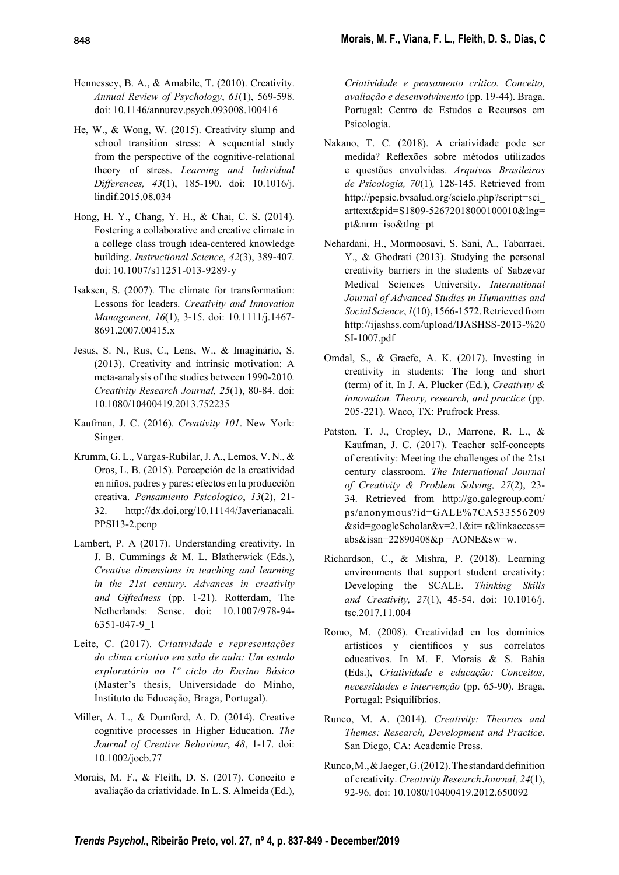- Hennessey, B. A., & Amabile, T. (2010). Creativity. Annual Review of Psychology, 61(1), 569-598. doi: 10.1146/annurev.psych.093008.100416
- He, W., & Wong, W. (2015). Creativity slump and school transition stress: A sequential study from the perspective of the cognitive-relational theory of stress. Learning and Individual Differences, 43(1), 185-190. doi: 10.1016/j. lindif.2015.08.034
- Hong, H. Y., Chang, Y. H., & Chai, C. S. (2014). Fostering a collaborative and creative climate in a college class trough idea-centered knowledge building. Instructional Science, 42(3), 389-407. doi: 10.1007/s11251-013-9289-y
- Isaksen, S. (2007). The climate for transformation: Lessons for leaders. Creativity and Innovation Management, 16(1), 3-15. doi: 10.1111/j.1467- 8691.2007.00415.x
- Jesus, S. N., Rus, C., Lens, W., & Imaginário, S. (2013). Creativity and intrinsic motivation: A meta-analysis of the studies between 1990-2010. Creativity Research Journal, 25(1), 80-84. doi: 10.1080/10400419.2013.752235
- Kaufman, J. C. (2016). Creativity 101. New York: Singer.
- Krumm, G. L., Vargas-Rubilar, J. A., Lemos, V. N., & Oros, L. B. (2015). Percepción de la creatividad en niños, padres y pares: efectos en la producción creativa. Pensamiento Psicologico, 13(2), 21- 32. http://dx.doi.org/10.11144/Javerianacali. PPSI13-2.pcnp
- Lambert, P. A (2017). Understanding creativity. In J. B. Cummings & M. L. Blatherwick (Eds.), Creative dimensions in teaching and learning in the 21st century. Advances in creativity and Giftedness (pp. 1-21). Rotterdam, The Netherlands: Sense. doi: 10.1007/978-94- 6351-047-9\_1
- Leite, C. (2017). Criatividade e representações do clima criativo em sala de aula: Um estudo exploratório no 1º ciclo do Ensino Básico (Master's thesis, Universidade do Minho, Instituto de Educação, Braga, Portugal).
- Miller, A. L., & Dumford, A. D. (2014). Creative cognitive processes in Higher Education. The Journal of Creative Behaviour, 48, 1-17. doi: 10.1002/jocb.77
- Morais, M. F., & Fleith, D. S. (2017). Conceito e avaliação da criatividade. In L. S. Almeida (Ed.),

Criatividade e pensamento crítico. Conceito, avaliação e desenvolvimento (pp. 19-44). Braga, Portugal: Centro de Estudos e Recursos em Psicologia.

- Nakano, T. C. (2018). A criatividade pode ser medida? Reflexões sobre métodos utilizados e questões envolvidas. Arquivos Brasileiros de Psicologia, 70(1), 128-145. Retrieved from http://pepsic.bvsalud.org/scielo.php?script=sci\_ arttext&pid=S1809-52672018000100010&lng= pt&nrm=iso&tlng=pt
- Nehardani, H., Mormoosavi, S. Sani, A., Tabarraei, Y., & Ghodrati (2013). Studying the personal creativity barriers in the students of Sabzevar Medical Sciences University. International Journal of Advanced Studies in Humanities and Social Science, 1(10), 1566-1572. Retrieved from http://ijashss.com/upload/IJASHSS-2013-%20 SI-1007.pdf
- Omdal, S., & Graefe, A. K. (2017). Investing in creativity in students: The long and short (term) of it. In J. A. Plucker (Ed.), Creativity & innovation. Theory, research, and practice (pp. 205-221). Waco, TX: Prufrock Press.
- Patston, T. J., Cropley, D., Marrone, R. L., & Kaufman, J. C. (2017). Teacher self-concepts of creativity: Meeting the challenges of the 21st century classroom. The International Journal of Creativity & Problem Solving, 27(2), 23- 34. Retrieved from http://go.galegroup.com/ ps/anonymous?id=GALE%7CA533556209 &sid=googleScholar&v=2.1&it= r&linkaccess= abs&issn=22890408&p =AONE&sw=w.
- Richardson, C., & Mishra, P. (2018). Learning environments that support student creativity: Developing the SCALE. Thinking Skills and Creativity, 27(1), 45-54. doi: 10.1016/j. tsc.2017.11.004
- Romo, M. (2008). Creatividad en los domínios artísticos y científicos y sus correlatos educativos. In M. F. Morais & S. Bahia (Eds.), Criatividade e educação: Conceitos, necessidades e intervenção (pp. 65-90). Braga, Portugal: Psiquilíbrios.
- Runco, M. A. (2014). Creativity: Theories and Themes: Research, Development and Practice. San Diego, CA: Academic Press.
- Runco, M., & Jaeger, G.  $(2012)$ . The standard definition of creativity. Creativity Research Journal, 24(1), 92-96. doi: 10.1080/10400419.2012.650092